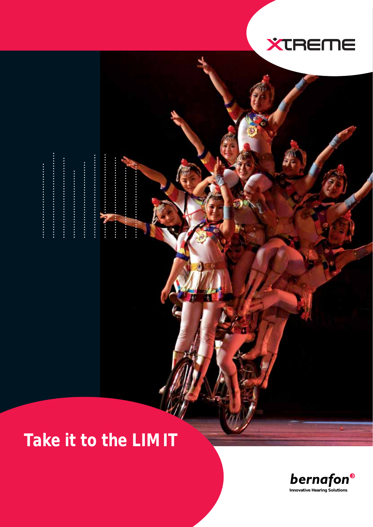

............................

.....................

.................

 $\ddot{\bullet}$ 

. . . . . . . . . . . . . . . . . .

..............



# **XTREME**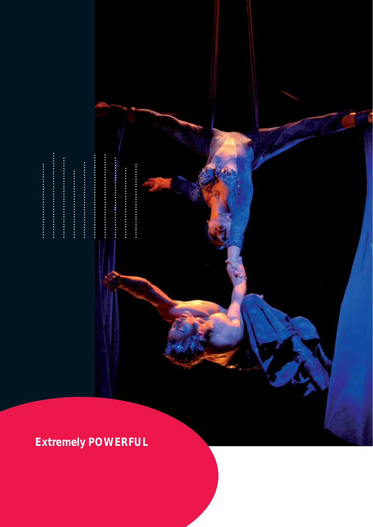# ....................

......................

...........................

*Extremly Powerfull and Eco-Extremely POWERFUL*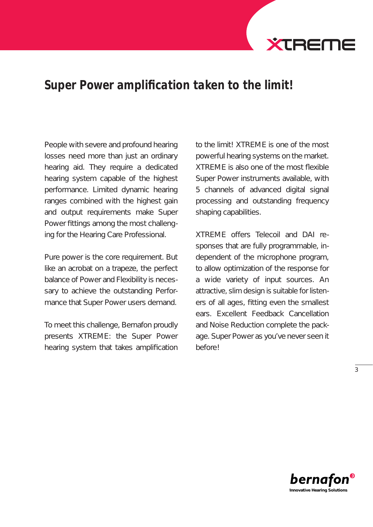

# Super Power amplification taken to the limit!

People with severe and profound hearing losses need more than just an ordinary hearing aid. They require a dedicated hearing system capable of the highest performance. Limited dynamic hearing ranges combined with the highest gain and output requirements make Super Power fittings among the most challenging for the Hearing Care Professional.

Pure power is the core requirement. But like an acrobat on a trapeze, the perfect balance of Power and Flexibility is necessary to achieve the outstanding Performance that Super Power users demand.

To meet this challenge, Bernafon proudly presents XTREME: the Super Power hearing system that takes amplification

to the limit! XTREME is one of the most powerful hearing systems on the market. XTREME is also one of the most flexible Super Power instruments available, with 5 channels of advanced digital signal processing and outstanding frequency shaping capabilities.

XTREME offers Telecoil and DAI responses that are fully programmable, independent of the microphone program, to allow optimization of the response for a wide variety of input sources. An attractive, slim design is suitable for listeners of all ages, fitting even the smallest ears. Excellent Feedback Cancellation and Noise Reduction complete the package. Super Power as you've never seen it before!

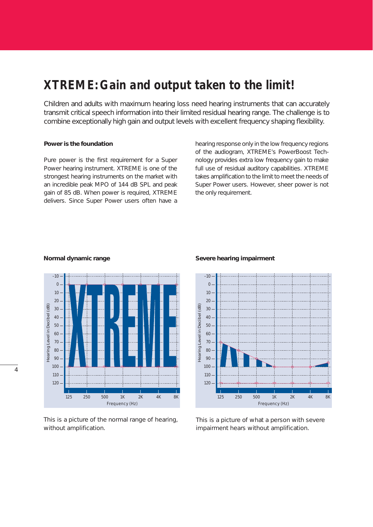# *XTREME: Gain and output taken to the limit!*

Children and adults with maximum hearing loss need hearing instruments that can accurately transmit critical speech information into their limited residual hearing range. The challenge is to combine exceptionally high gain and output levels with excellent frequency shaping flexibility.

#### **Power is the foundation**

Pure power is the first requirement for a Super Power hearing instrument. XTREME is one of the strongest hearing instruments on the market with an incredible peak MPO of 144 dB SPL and peak gain of 85 dB. When power is required, XTREME delivers. Since Super Power users often have a hearing response only in the low frequency regions of the audiogram, XTREME's PowerBoost Technology provides extra low frequency gain to make full use of residual auditory capabilities. XTREME takes amplification to the limit to meet the needs of Super Power users. However, sheer power is not the only requirement.



*This is a picture of the normal range of hearing, without amplification.*

#### **Normal dynamic range Severe hearing impairment**



*This is a picture of what a person with severe impairment hears without amplification.*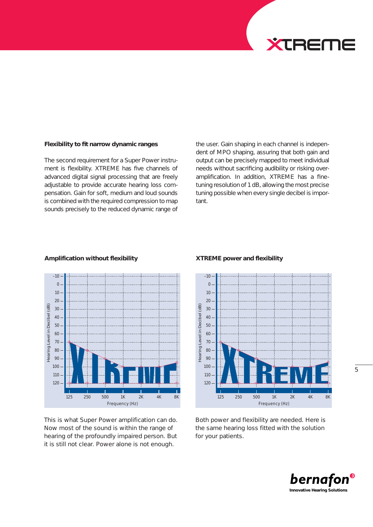

#### **Flexibility to fit narrow dynamic ranges**

The second requirement for a Super Power instrument is flexibility. XTREME has five channels of advanced digital signal processing that are freely adjustable to provide accurate hearing loss compensation. Gain for soft, medium and loud sounds is combined with the required compression to map sounds precisely to the reduced dynamic range of the user. Gain shaping in each channel is independent of MPO shaping, assuring that both gain and output can be precisely mapped to meet individual needs without sacrificing audibility or risking overamplification. In addition, XTREME has a finetuning resolution of 1 dB, allowing the most precise tuning possible when every single decibel is important.



#### *This is what Super Power amplification can do. Now most of the sound is within the range of hearing of the profoundly impaired person. But it is still not clear. Power alone is not enough.*

#### **Amplification without flexibility XTREME power and flexibility**



*Both power and flexibility are needed. Here is the same hearing loss fitted with the solution for your patients.*

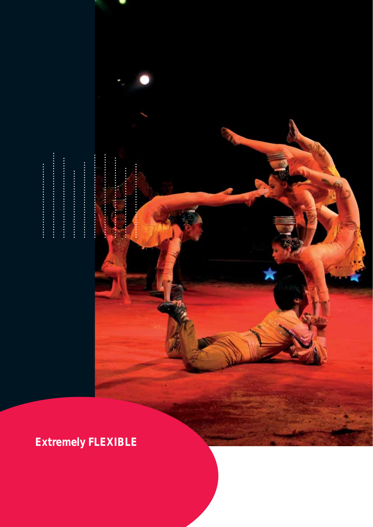

*Extremely FLEXIBLE*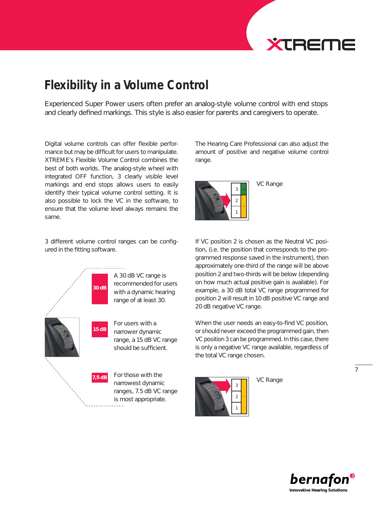# **EXTREME**

# *Flexibility in a Volume Control*

Experienced Super Power users often prefer an analog-style volume control with end stops and clearly defined markings. This style is also easier for parents and caregivers to operate.

Digital volume controls can offer flexible performance but may be difficult for users to manipulate. XTREME's Flexible Volume Control combines the best of both worlds. The analog-style wheel with integrated OFF function, 3 clearly visible level markings and end stops allows users to easily identify their typical volume control setting. It is also possible to lock the VC in the software, to ensure that the volume level always remains the same.

3 different volume control ranges can be configured in the fitting software.



range, a 15 dB VC range

narrowest dynamic ranges, 7.5 dB VC range is most appropriate.

The Hearing Care Professional can also adjust the amount of positive and negative volume control range.



If VC position 2 is chosen as the Neutral VC position, (i.e. the position that corresponds to the programmed response saved in the instrument), then approximately one-third of the range will be above position 2 and two-thirds will be below (depending on how much actual positive gain is available). For example, a 30 dB total VC range programmed for position 2 will result in 10 dB positive VC range and 20 dB negative VC range.

When the user needs an easy-to-find VC position, or should never exceed the programmed gain, then VC position 3 can be programmed. In this case, there is only a negative VC range available, regardless of the total VC range chosen.



VC Range

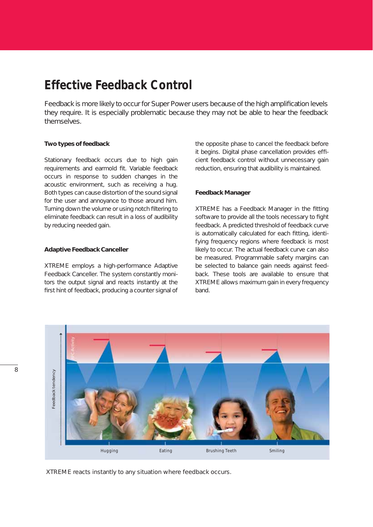# *Effective Feedback Control*

Feedback is more likely to occur for Super Power users because of the high amplification levels they require. It is especially problematic because they may not be able to hear the feedback themselves.

#### **Two types of feedback**

Stationary feedback occurs due to high gain requirements and earmold fit. Variable feedback occurs in response to sudden changes in the acoustic environment, such as receiving a hug. Both types can cause distortion of the sound signal for the user and annoyance to those around him. Turning down the volume or using notch filtering to eliminate feedback can result in a loss of audibility by reducing needed gain.

#### **Adaptive Feedback Canceller**

XTREME employs a high-performance Adaptive Feedback Canceller. The system constantly monitors the output signal and reacts instantly at the first hint of feedback, producing a counter signal of the opposite phase to cancel the feedback before it begins. Digital phase cancellation provides efficient feedback control without unnecessary gain reduction, ensuring that audibility is maintained.

#### **Feedback Manager**

XTREME has a Feedback Manager in the fitting software to provide all the tools necessary to fight feedback. A predicted threshold of feedback curve is automatically calculated for each fitting, identifying frequency regions where feedback is most likely to occur. The actual feedback curve can also be measured. Programmable safety margins can be selected to balance gain needs against feedback. These tools are available to ensure that XTREME allows maximum gain in every frequency band.



*XTREME reacts instantly to any situation where feedback occurs.*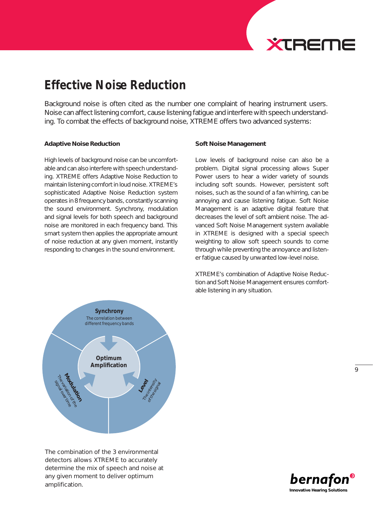

# *Effective Noise Reduction*

Background noise is often cited as the number one complaint of hearing instrument users. Noise can affect listening comfort, cause listening fatigue and interfere with speech understanding. To combat the effects of background noise, XTREME offers two advanced systems:

#### **Adaptive Noise Reduction**

High levels of background noise can be uncomfortable and can also interfere with speech understanding. XTREME offers Adaptive Noise Reduction to maintain listening comfort in loud noise. XTREME's sophisticated Adaptive Noise Reduction system operates in 8 frequency bands, constantly scanning the sound environment. Synchrony, modulation and signal levels for both speech and background noise are monitored in each frequency band. This smart system then applies the appropriate amount of noise reduction at any given moment, instantly responding to changes in the sound environment.

#### **Soft Noise Management**

Low levels of background noise can also be a problem. Digital signal processing allows Super Power users to hear a wider variety of sounds including soft sounds. However, persistent soft noises, such as the sound of a fan whirring, can be annoying and cause listening fatigue. Soft Noise Management is an adaptive digital feature that decreases the level of soft ambient noise. The advanced Soft Noise Management system available in XTREME is designed with a special speech weighting to allow soft speech sounds to come through while preventing the annoyance and listener fatigue caused by unwanted low-level noise.

XTREME's combination of Adaptive Noise Reduction and Soft Noise Management ensures comfortable listening in any situation.



*The combination of the 3 environmental detectors allows XTREME to accurately determine the mix of speech and noise at any given moment to deliver optimum amplification.*

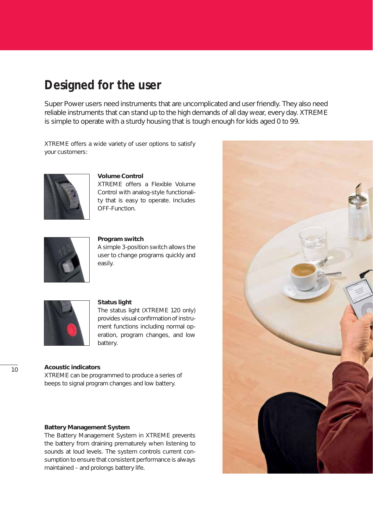# *Designed for the user*

Super Power users need instruments that are uncomplicated and user friendly. They also need reliable instruments that can stand up to the high demands of all day wear, every day. XTREME is simple to operate with a sturdy housing that is tough enough for kids aged 0 to 99.

XTREME offers a wide variety of user options to satisfy your customers:



#### **Volume Control**

XTREME offers a Flexible Volume Control with analog-style functionality that is easy to operate. Includes OFF-Function.



#### **Program switch**

A simple 3-position switch allows the user to change programs quickly and easily.



#### **Status light**

The status light (XTREME 120 only) provides visual confirmation of instrument functions including normal operation, program changes, and low battery.

#### **Acoustic indicators**

XTREME can be programmed to produce a series of beeps to signal program changes and low battery.

#### **Battery Management System**

The Battery Management System in XTREME prevents the battery from draining prematurely when listening to sounds at loud levels. The system controls current consumption to ensure that consistent performance is always maintained – and prolongs battery life.

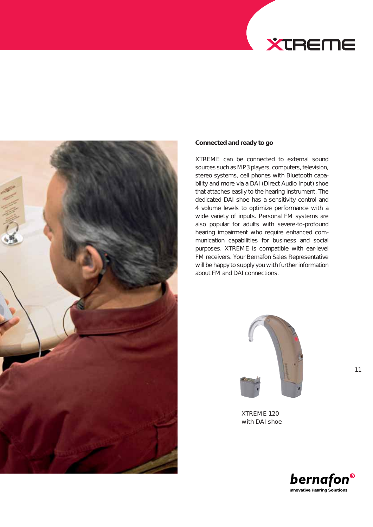



#### **Connected and ready to go**

XTREME can be connected to external sound sources such as MP3 players, computers, television, stereo systems, cell phones with Bluetooth capability and more via a DAI (Direct Audio Input) shoe that attaches easily to the hearing instrument. The dedicated DAI shoe has a sensitivity control and 4 volume levels to optimize performance with a wide variety of inputs. Personal FM systems are also popular for adults with severe-to-profound hearing impairment who require enhanced communication capabilities for business and social purposes. XTREME is compatible with ear-level FM receivers. Your Bernafon Sales Representative will be happy to supply you with further information about FM and DAI connections.



*XTREME 120 with DAI shoe*

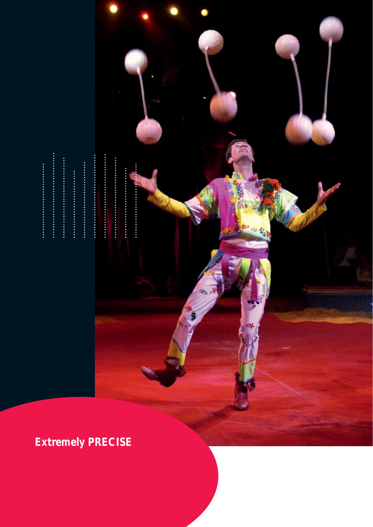

# ....................

...........................

..........................

.................

# *Extremely PRECISE*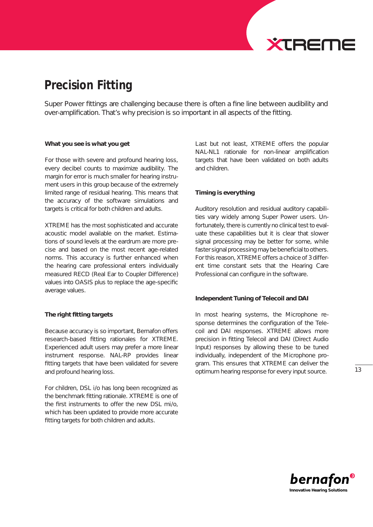

# *Precision Fitting*

Super Power fittings are challenging because there is often a fine line between audibility and over-amplification. That's why precision is so important in all aspects of the fitting.

#### **What you see is what you get**

For those with severe and profound hearing loss, every decibel counts to maximize audibility. The margin for error is much smaller for hearing instrument users in this group because of the extremely limited range of residual hearing. This means that the accuracy of the software simulations and targets is critical for both children and adults.

XTREME has the most sophisticated and accurate acoustic model available on the market. Estimations of sound levels at the eardrum are more precise and based on the most recent age-related norms. This accuracy is further enhanced when the hearing care professional enters individually measured RECD (Real Ear to Coupler Difference) values into OASIS plus to replace the age-specific average values.

#### **The right fitting targets**

Because accuracy is so important, Bernafon offers research-based fitting rationales for XTREME. Experienced adult users may prefer a more linear instrument response. NAL-RP provides linear fitting targets that have been validated for severe and profound hearing loss.

For children, DSL i/o has long been recognized as the benchmark fitting rationale. XTREME is one of the first instruments to offer the new DSL mi/o, which has been updated to provide more accurate fitting targets for both children and adults.

Last but not least, XTREME offers the popular NAL-NL1 rationale for non-linear amplification targets that have been validated on both adults and children.

#### **Timing is everything**

Auditory resolution and residual auditory capabilities vary widely among Super Power users. Unfortunately, there is currently no clinical test to evaluate these capabilities but it is clear that slower signal processing may be better for some, while faster signal processing may be beneficial to others. For this reason, XTREME offers a choice of 3 different time constant sets that the Hearing Care Professional can configure in the software.

#### **Independent Tuning of Telecoil and DAI**

In most hearing systems, the Microphone response determines the configuration of the Telecoil and DAI responses. XTREME allows more precision in fitting Telecoil and DAI (Direct Audio Input) responses by allowing these to be tuned individually, independent of the Microphone program. This ensures that XTREME can deliver the optimum hearing response for every input source.

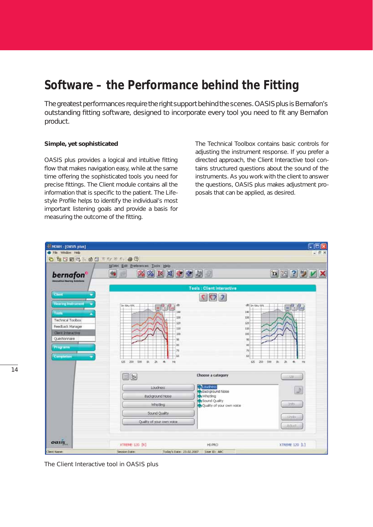# *Software – the Performance behind the Fitting*

The greatest performances require the right support behind the scenes. OASIS plus is Bernafon's outstanding fitting software, designed to incorporate every tool you need to fit any Bernafon product.

#### **Simple, yet sophisticated**

OASIS plus provides a logical and intuitive fitting flow that makes navigation easy, while at the same time offering the sophisticated tools you need for precise fittings. The Client module contains all the information that is specific to the patient. The Lifestyle Profile helps to identify the individual's most important listening goals and provide a basis for measuring the outcome of the fitting.

The Technical Toolbox contains basic controls for adjusting the instrument response. If you prefer a directed approach, the Client Interactive tool contains structured questions about the sound of the instruments. As you work with the client to answer the questions, OASIS plus makes adjustment proposals that can be applied, as desired.



*The Client Interactive tool in OASIS plus*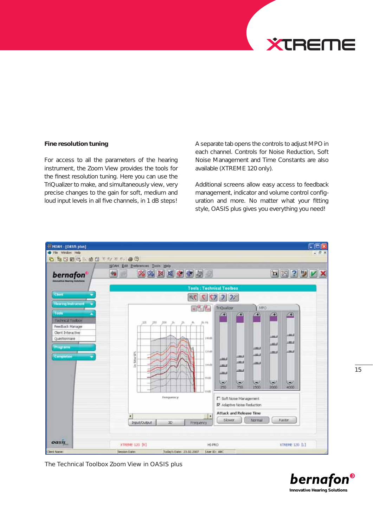

#### **Fine resolution tuning**

For access to all the parameters of the hearing instrument, the Zoom View provides the tools for the finest resolution tuning. Here you can use the TriQualizer to make, and simultaneously view, very precise changes to the gain for soft, medium and loud input levels in all five channels, in 1 dB steps! A separate tab opens the controls to adjust MPO in each channel. Controls for Noise Reduction, Soft Noise Management and Time Constants are also available (XTREME 120 only).

Additional screens allow easy access to feedback management, indicator and volume control configuration and more. No matter what your fitting style, OASIS plus gives you everything you need!



*The Technical Toolbox Zoom View in OASIS plus*

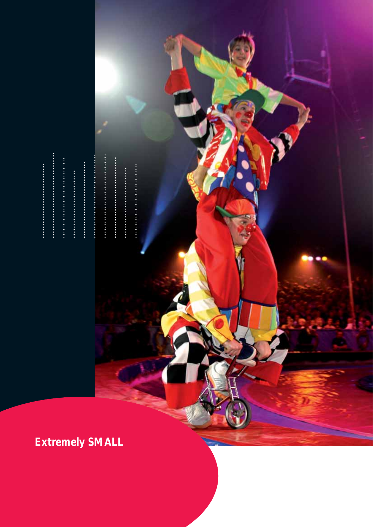

*Extremely SMALL*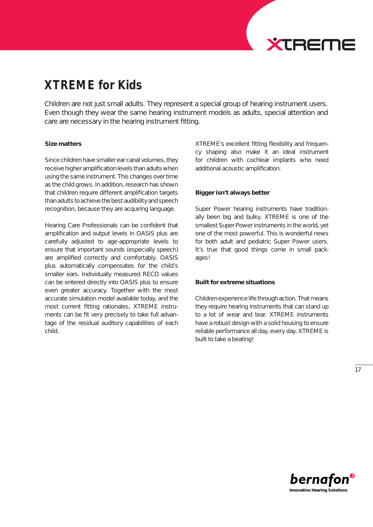

# *XTREME for Kids*

Children are not just small adults. They represent a special group of hearing instrument users. Even though they wear the same hearing instrument models as adults, special attention and care are necessary in the hearing instrument fitting.

#### **Size matters**

Since children have smaller ear canal volumes, they receive higher amplification levels than adults when using the same instrument. This changes over time as the child grows. In addition, research has shown that children require different amplification targets than adults to achieve the best audibility and speech recognition, because they are acquiring language.

Hearing Care Professionals can be confident that amplification and output levels in OASIS plus are carefully adjusted to age-appropriate levels to ensure that important sounds (especially speech) are amplified correctly and comfortably. OASIS plus automatically compensates for the child's smaller ears. Individually measured RECD values can be entered directly into OASIS plus to ensure even greater accuracy. Together with the most accurate simulation model available today, and the most current fitting rationales, XTREME instruments can be fit very precisely to take full advantage of the residual auditory capabilities of each child.

XTREME's excellent fitting flexibility and frequency shaping also make it an ideal instrument for children with cochlear implants who need additional acoustic amplification.

#### **Bigger isn't always better**

Super Power hearing instruments have traditionally been big and bulky. XTREME is one of the smallest Super Power instruments in the world, yet one of the most powerful. This is wonderful news for both adult and pediatric Super Power users. It's true that good things come in small packages!

#### **Built for extreme situations**

Children experience life through action. That means they require hearing instruments that can stand up to a lot of wear and tear. XTREME instruments have a robust design with a solid housing to ensure reliable performance all day, every day. XTREME is built to take a beating!

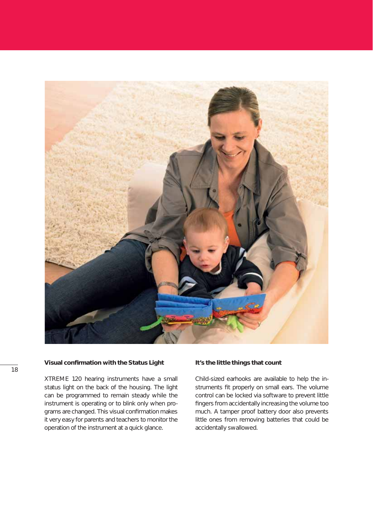

#### **Visual confirmation with the Status Light**

XTREME 120 hearing instruments have a small status light on the back of the housing. The light can be programmed to remain steady while the instrument is operating or to blink only when programs are changed. This visual confirmation makes it very easy for parents and teachers to monitor the operation of the instrument at a quick glance.

#### **It's the little things that count**

Child-sized earhooks are available to help the instruments fit properly on small ears. The volume control can be locked via software to prevent little fingers from accidentally increasing the volume too much. A tamper proof battery door also prevents little ones from removing batteries that could be accidentally swallowed.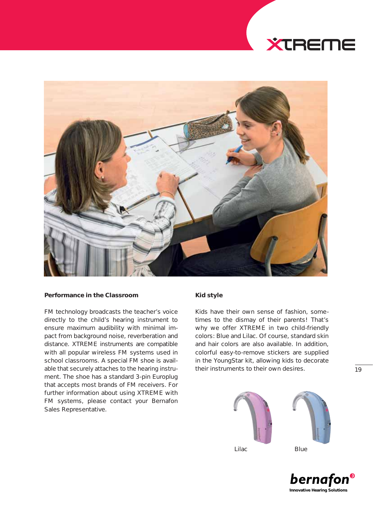# **XTREME**



#### **Performance in the Classroom**

FM technology broadcasts the teacher's voice directly to the child's hearing instrument to ensure maximum audibility with minimal impact from background noise, reverberation and distance. XTREME instruments are compatible with all popular wireless FM systems used in school classrooms. A special FM shoe is available that securely attaches to the hearing instrument. The shoe has a standard 3-pin Europlug that accepts most brands of FM receivers. For further information about using XTREME with FM systems, please contact your Bernafon Sales Representative.

#### **Kid style**

Kids have their own sense of fashion, sometimes to the dismay of their parents! That's why we offer XTREME in two child-friendly colors: Blue and Lilac. Of course, standard skin and hair colors are also available. In addition, colorful easy-to-remove stickers are supplied in the YoungStar kit, allowing kids to decorate their instruments to their own desires.





19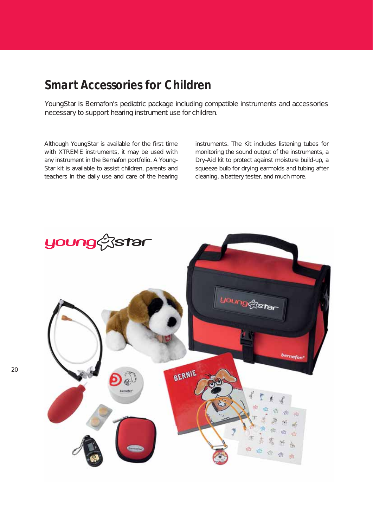### *Smart Accessories for Children*

YoungStar is Bernafon's pediatric package including compatible instruments and accessories necessary to support hearing instrument use for children.

Although YoungStar is available for the first time with XTREME instruments, it may be used with any instrument in the Bernafon portfolio. A Young-Star kit is available to assist children, parents and teachers in the daily use and care of the hearing

instruments. The Kit includes listening tubes for monitoring the sound output of the instruments, a Dry-Aid kit to protect against moisture build-up, a squeeze bulb for drying earmolds and tubing after cleaning, a battery tester, and much more.

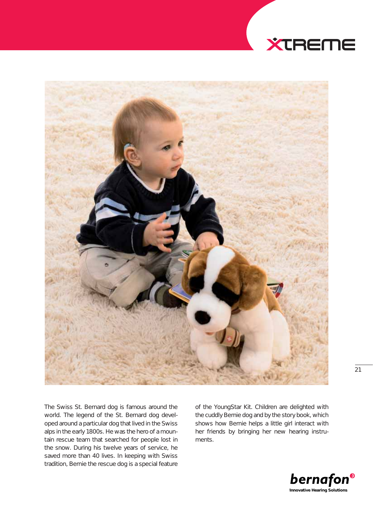



The Swiss St. Bernard dog is famous around the world. The legend of the St. Bernard dog developed around a particular dog that lived in the Swiss alps in the early 1800s. He was the hero of a mountain rescue team that searched for people lost in the snow. During his twelve years of service, he saved more than 40 lives. In keeping with Swiss tradition, Bernie the rescue dog is a special feature of the YoungStar Kit. Children are delighted with the cuddly Bernie dog and by the story book, which shows how Bernie helps a little girl interact with her friends by bringing her new hearing instruments.

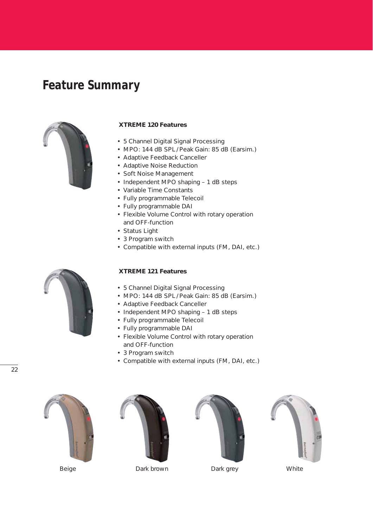# *Feature Summary*



#### **XTREME 120 Features**

- 5 Channel Digital Signal Processing
- MPO: 144 dB SPL/Peak Gain: 85 dB (Earsim.)
- Adaptive Feedback Canceller
- Adaptive Noise Reduction
- Soft Noise Management
- Independent MPO shaping 1 dB steps
- Variable Time Constants
- Fully programmable Telecoil
- Fully programmable DAI
- Flexible Volume Control with rotary operation and OFF-function
- Status Light
- 3 Program switch
- Compatible with external inputs (FM, DAI, etc.)

#### **XTREME 121 Features**

- 5 Channel Digital Signal Processing
- MPO: 144 dB SPL / Peak Gain: 85 dB (Earsim.)
- Adaptive Feedback Canceller
- Independent MPO shaping 1 dB steps
- Fully programmable Telecoil
- Fully programmable DAI
- Flexible Volume Control with rotary operation and OFF-function
- 3 Program switch
- Compatible with external inputs (FM, DAI, etc.)





*Beige Dark brown Dark grey White*





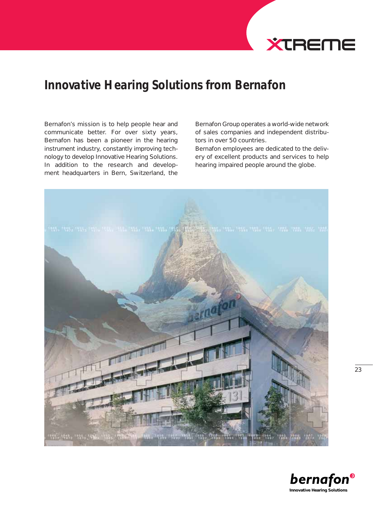

# *Innovative Hearing Solutions from Bernafon*

Bernafon's mission is to help people hear and communicate better. For over sixty years, Bernafon has been a pioneer in the hearing instrument industry, constantly improving technology to develop Innovative Hearing Solutions. In addition to the research and development headquarters in Bern, Switzerland, the

Bernafon Group operates a world-wide network of sales companies and independent distributors in over 50 countries.

Bernafon employees are dedicated to the delivery of excellent products and services to help hearing impaired people around the globe.